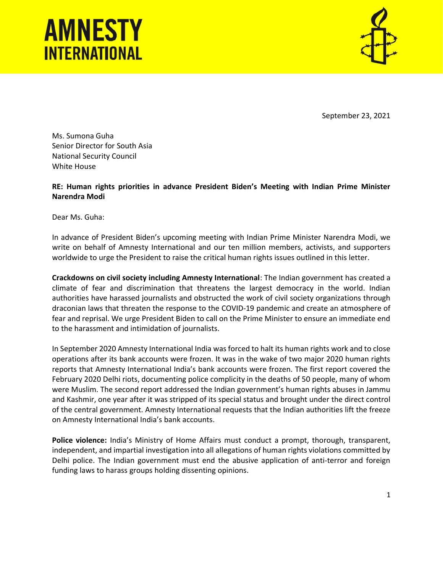## **AMNESTY INTERNATIONAL**



September 23, 2021

Ms. Sumona Guha Senior Director for South Asia National Security Council White House

RE: Human rights priorities in advance President Biden's Meeting with Indian Prime Minister Narendra Modi

Dear Ms. Guha:

In advance of President Biden's upcoming meeting with Indian Prime Minister Narendra Modi, we write on behalf of Amnesty International and our ten million members, activists, and supporters worldwide to urge the President to raise the critical human rights issues outlined in this letter.

Crackdowns on civil society including Amnesty International: The Indian government has created a climate of fear and discrimination that threatens the largest democracy in the world. Indian authorities have harassed journalists and obstructed the work of civil society organizations through draconian laws that threaten the response to the COVID-19 pandemic and create an atmosphere of fear and reprisal. We urge President Biden to call on the Prime Minister to ensure an immediate end to the harassment and intimidation of journalists.

In September 2020 Amnesty International India was forced to halt its human rights work and to close operations after its bank accounts were frozen. It was in the wake of two major 2020 human rights reports that Amnesty International India's bank accounts were frozen. The first report covered the February 2020 Delhi riots, documenting police complicity in the deaths of 50 people, many of whom were Muslim. The second report addressed the Indian government's human rights abuses in Jammu and Kashmir, one year after it was stripped of its special status and brought under the direct control of the central government. Amnesty International requests that the Indian authorities lift the freeze on Amnesty International India's bank accounts.

Police violence: India's Ministry of Home Affairs must conduct a prompt, thorough, transparent, independent, and impartial investigation into all allegations of human rights violations committed by Delhi police. The Indian government must end the abusive application of anti-terror and foreign funding laws to harass groups holding dissenting opinions.